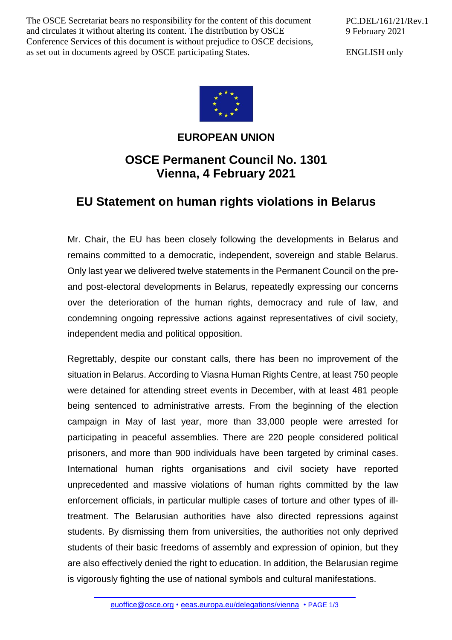The OSCE Secretariat bears no responsibility for the content of this document and circulates it without altering its content. The distribution by OSCE Conference Services of this document is without prejudice to OSCE decisions, as set out in documents agreed by OSCE participating States.

PC.DEL/161/21/Rev.1 9 February 2021

ENGLISH only



## **EUROPEAN UNION**

## **OSCE Permanent Council No. 1301 Vienna, 4 February 2021**

## **EU Statement on human rights violations in Belarus**

Mr. Chair, the EU has been closely following the developments in Belarus and remains committed to a democratic, independent, sovereign and stable Belarus. Only last year we delivered twelve statements in the Permanent Council on the preand post-electoral developments in Belarus, repeatedly expressing our concerns over the deterioration of the human rights, democracy and rule of law, and condemning ongoing repressive actions against representatives of civil society, independent media and political opposition.

Regrettably, despite our constant calls, there has been no improvement of the situation in Belarus. According to Viasna Human Rights Centre, at least 750 people were detained for attending street events in December, with at least 481 people being sentenced to administrative arrests. From the beginning of the election campaign in May of last year, more than 33,000 people were arrested for participating in peaceful assemblies. There are 220 people considered political prisoners, and more than 900 individuals have been targeted by criminal cases. International human rights organisations and civil society have reported unprecedented and massive violations of human rights committed by the law enforcement officials, in particular multiple cases of torture and other types of illtreatment. The Belarusian authorities have also directed repressions against students. By dismissing them from universities, the authorities not only deprived students of their basic freedoms of assembly and expression of opinion, but they are also effectively denied the right to education. In addition, the Belarusian regime is vigorously fighting the use of national symbols and cultural manifestations.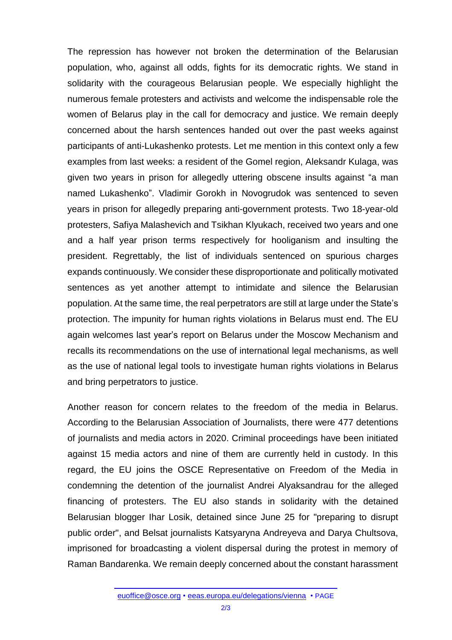The repression has however not broken the determination of the Belarusian population, who, against all odds, fights for its democratic rights. We stand in solidarity with the courageous Belarusian people. We especially highlight the numerous female protesters and activists and welcome the indispensable role the women of Belarus play in the call for democracy and justice. We remain deeply concerned about the harsh sentences handed out over the past weeks against participants of anti-Lukashenko protests. Let me mention in this context only a few examples from last weeks: a resident of the Gomel region, Aleksandr Kulaga, was given two years in prison for allegedly uttering obscene insults against "a man named Lukashenko". Vladimir Gorokh in Novogrudok was sentenced to seven years in prison for allegedly preparing anti-government protests. Two 18-year-old protesters, Safiya Malashevich and Tsikhan Klyukach, received two years and one and a half year prison terms respectively for hooliganism and insulting the president. Regrettably, the list of individuals sentenced on spurious charges expands continuously. We consider these disproportionate and politically motivated sentences as yet another attempt to intimidate and silence the Belarusian population. At the same time, the real perpetrators are still at large under the State's protection. The impunity for human rights violations in Belarus must end. The EU again welcomes last year's report on Belarus under the Moscow Mechanism and recalls its recommendations on the use of international legal mechanisms, as well as the use of national legal tools to investigate human rights violations in Belarus and bring perpetrators to justice.

Another reason for concern relates to the freedom of the media in Belarus. According to the Belarusian Association of Journalists, there were 477 detentions of journalists and media actors in 2020. Criminal proceedings have been initiated against 15 media actors and nine of them are currently held in custody. In this regard, the EU joins the OSCE Representative on Freedom of the Media in condemning the detention of the journalist Andrei Alyaksandrau for the alleged financing of protesters. The EU also stands in solidarity with the detained Belarusian blogger Ihar Losik, detained since June 25 for "preparing to disrupt public order", and Belsat journalists Katsyaryna Andreyeva and Darya Chultsova, imprisoned for broadcasting a violent dispersal during the protest in memory of Raman Bandarenka. We remain deeply concerned about the constant harassment